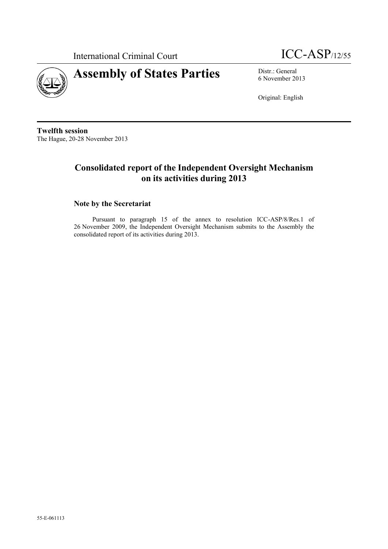



6 November 2013

Original: English

**Twelfth session** The Hague, 20-28 November 2013

## **Consolidated report of the Independent Oversight Mechanism on its activities during 2013**

## **Note by the Secretariat**

Pursuant to paragraph 15 of the annex to resolution ICC-ASP/8/Res.1 of 26 November 2009, the Independent Oversight Mechanism submits to the Assembly the consolidated report of its activities during 2013.